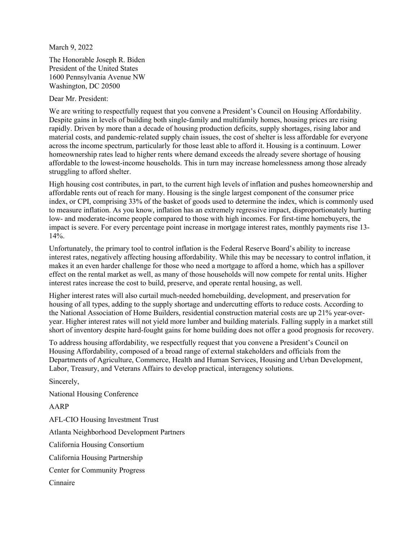March 9, 2022

The Honorable Joseph R. Biden President of the United States 1600 Pennsylvania Avenue NW Washington, DC 20500

Dear Mr. President:

We are writing to respectfully request that you convene a President's Council on Housing Affordability. Despite gains in levels of building both single-family and multifamily homes, housing prices are rising rapidly. Driven by more than a decade of housing production deficits, supply shortages, rising labor and material costs, and pandemic-related supply chain issues, the cost of shelter is less affordable for everyone across the income spectrum, particularly for those least able to afford it. Housing is a continuum. Lower homeownership rates lead to higher rents where demand exceeds the already severe shortage of housing affordable to the lowest-income households. This in turn may increase homelessness among those already struggling to afford shelter.

High housing cost contributes, in part, to the current high levels of inflation and pushes homeownership and affordable rents out of reach for many. Housing is the single largest component of the consumer price index, or CPI, comprising 33% of the basket of goods used to determine the index, which is commonly used to measure inflation. As you know, inflation has an extremely regressive impact, disproportionately hurting low- and moderate-income people compared to those with high incomes. For first-time homebuyers, the impact is severe. For every percentage point increase in mortgage interest rates, monthly payments rise 13- 14%.

Unfortunately, the primary tool to control inflation is the Federal Reserve Board's ability to increase interest rates, negatively affecting housing affordability. While this may be necessary to control inflation, it makes it an even harder challenge for those who need a mortgage to afford a home, which has a spillover effect on the rental market as well, as many of those households will now compete for rental units. Higher interest rates increase the cost to build, preserve, and operate rental housing, as well.

Higher interest rates will also curtail much-needed homebuilding, development, and preservation for housing of all types, adding to the supply shortage and undercutting efforts to reduce costs. According to the National Association of Home Builders, residential construction material costs are up 21% year-overyear. Higher interest rates will not yield more lumber and building materials. Falling supply in a market still short of inventory despite hard-fought gains for home building does not offer a good prognosis for recovery.

To address housing affordability, we respectfully request that you convene a President's Council on Housing Affordability, composed of a broad range of external stakeholders and officials from the Departments of Agriculture, Commerce, Health and Human Services, Housing and Urban Development, Labor, Treasury, and Veterans Affairs to develop practical, interagency solutions.

Sincerely,

National Housing Conference

AARP

AFL-CIO Housing Investment Trust Atlanta Neighborhood Development Partners California Housing Consortium California Housing Partnership Center for Community Progress Cinnaire